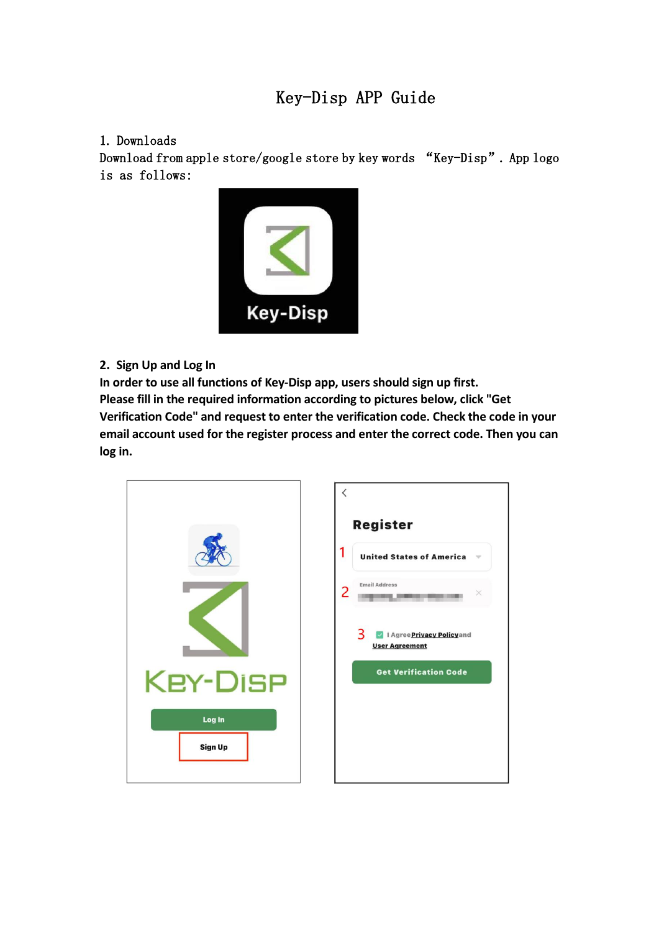# Key-Disp APP Guide

#### 1. Downloads

Download from apple store/google store by key words "Key-Disp". App logo is as follows:



**2. Sign Up and Log In**

**In order to use all functions of Key-Disp app, users should sign up first. Please fill in the required information according to pictures below, click "Get Verification Code" and request to enter the verification code. Check the code in your email account used for the register process and enter the correct code. Then you can log in.**

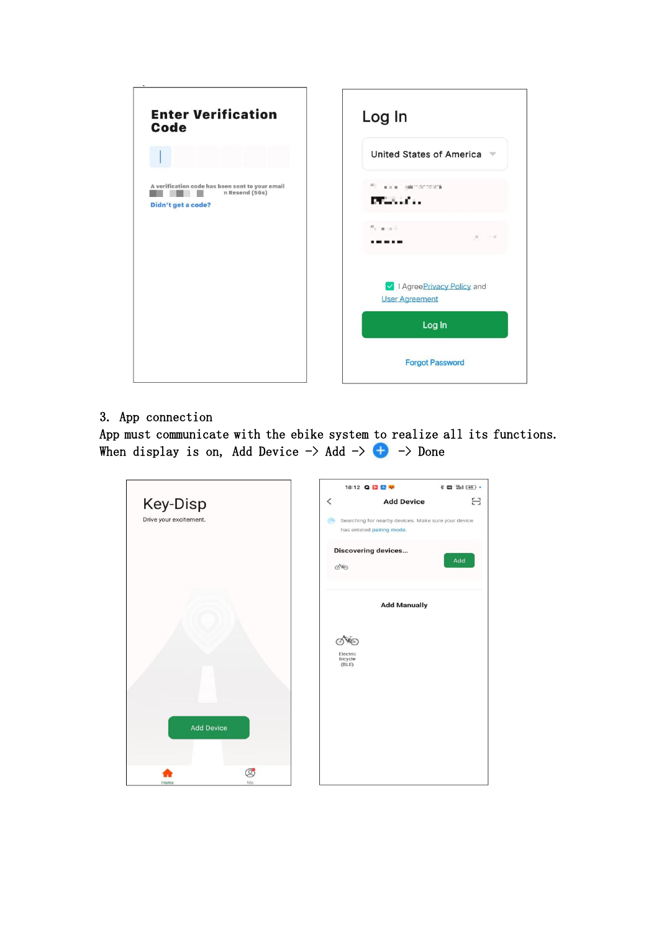

## 3. App connection

App must communicate with the ebike system to realize all its functions. When display is on, Add Device  $\rightarrow$  Add  $\rightarrow$   $\rightarrow$   $\rightarrow$  Done

|                        |                      |                     | 18:12 Q <b>D &amp; P</b>                                                         | <b>* 四 当1 65 ·</b> |
|------------------------|----------------------|---------------------|----------------------------------------------------------------------------------|--------------------|
| Key-Disp               |                      | $\,<\,$             | <b>Add Device</b>                                                                | e                  |
| Drive your excitement. |                      |                     | Searching for nearby devices. Make sure your device<br>has entered pairing mode. |                    |
|                        |                      | die                 | <b>Discovering devices</b>                                                       | Add                |
|                        |                      |                     | <b>Add Manually</b>                                                              |                    |
|                        |                      | Electric<br>bicycle |                                                                                  |                    |
|                        |                      | (BLE)               |                                                                                  |                    |
| <b>Add Device</b>      |                      |                     |                                                                                  |                    |
|                        |                      |                     |                                                                                  |                    |
| Home                   | $\circledcirc$<br>Me |                     |                                                                                  |                    |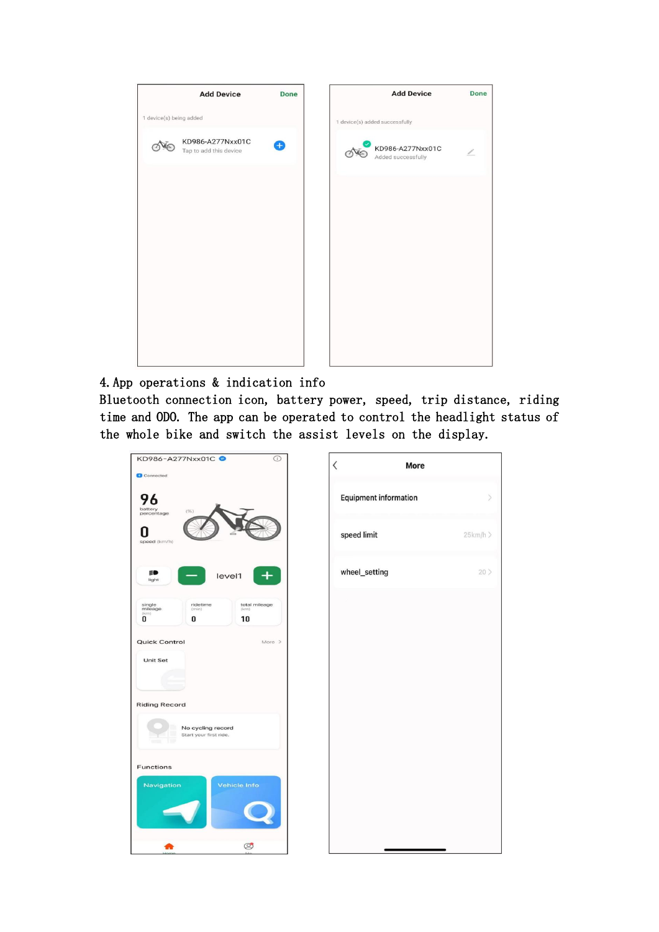

## 4.App operations & indication info

Bluetooth connection icon, battery power, speed, trip distance, riding time and ODO. The app can be operated to control the headlight status of the whole bike and switch the assist levels on the display.

| $\odot$<br>KD986-A277Nxx01C ●                                                               | $\langle$ |                              | <b>More</b> |
|---------------------------------------------------------------------------------------------|-----------|------------------------------|-------------|
| Connected                                                                                   |           |                              |             |
| 96<br>battery<br>(%)<br>percentage                                                          |           | <b>Equipment information</b> |             |
| speed (km/h)                                                                                |           | speed limit                  | 25km/h >    |
| ≣D<br>level1<br>╊<br>light                                                                  |           | wheel_setting                | $20$ $>$    |
| ridetime<br>total mileage<br>single<br>mileage<br>(rriiri)<br>(krn)<br>(km)<br>10<br>0<br>0 |           |                              |             |
| <b>Quick Control</b><br>More >                                                              |           |                              |             |
| <b>Unit Set</b>                                                                             |           |                              |             |
| <b>Riding Record</b>                                                                        |           |                              |             |
| No cycling record<br>Start your first ride.                                                 |           |                              |             |
| <b>Functions</b>                                                                            |           |                              |             |
| Navigation<br>Vehicle Info                                                                  |           |                              |             |
| $\circledcirc$                                                                              |           |                              |             |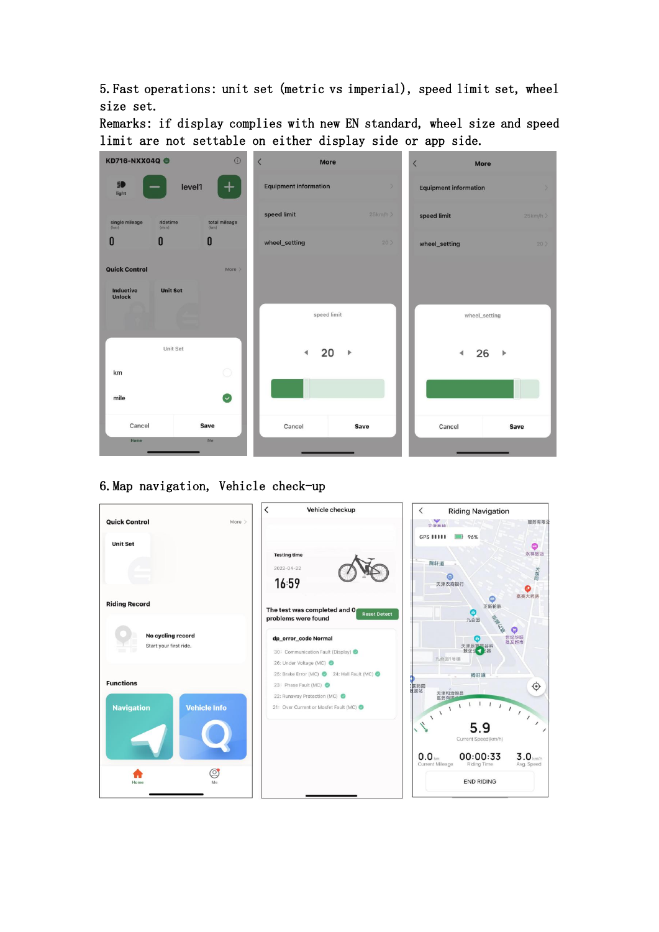5.Fast operations: unit set (metric vs imperial), speed limit set, wheel size set.

Remarks: if display complies with new EN standard, wheel size and speed limit are not settable on either display side or app side.

| KD716-NXX04Q @                    |                   | $\odot$               | $\overline{\left\langle \right\rangle }$<br>More |            | $\overline{\left\langle \right\rangle }$<br><b>More</b> |        |
|-----------------------------------|-------------------|-----------------------|--------------------------------------------------|------------|---------------------------------------------------------|--------|
| ED<br>light                       | level1            |                       | <b>Equipment information</b>                     | ×.         | <b>Equipment information</b>                            |        |
| single mileage<br>(km)            | ridetime<br>(min) | total mileage<br>(km) | speed limit                                      | $25km/h$ > | speed limit                                             | 25km/h |
| O                                 | 0                 | 0                     | wheel_setting                                    | 20         | wheel_setting                                           | 20     |
| <b>Quick Control</b>              |                   | $More$ $>$            |                                                  |            |                                                         |        |
| <b>Inductive</b><br><b>Unlock</b> | <b>Unit Set</b>   |                       | speed limit                                      |            | wheel_setting                                           |        |
| km                                | Unit Set          | 0                     | 20                                               |            | 26<br>∢                                                 | Þ      |
| mile                              |                   | $\sim$                |                                                  |            |                                                         |        |
| Cancel<br>Home                    |                   | Save<br>Me            | Cancel                                           | Save       | Cancel                                                  | Save   |

#### 6.Map navigation, Vehicle check-up

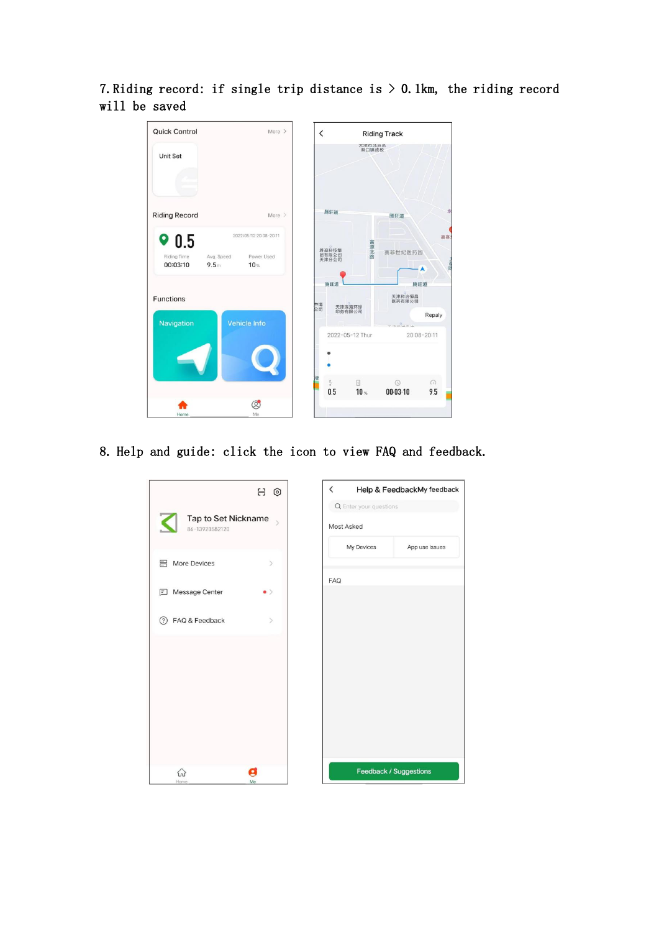7. Riding record: if single trip distance is  $> 0$ . 1km, the riding record will be saved



8. Help and guide: click the icon to view FAQ and feedback.

| 8 €                                                         | $\overline{\phantom{0}}$<br>Help & FeedbackMy feedback |
|-------------------------------------------------------------|--------------------------------------------------------|
|                                                             | Q Enter your questions                                 |
| Tap to Set Nickname<br>⋖<br>$\mathcal{L}$<br>86-13920582120 | Most Asked                                             |
|                                                             | My Devices<br>App use issues                           |
| More Devices<br>$\rightarrow$                               |                                                        |
|                                                             | <b>FAQ</b>                                             |
| Message Center<br>囙<br>$\bullet$ $>$                        |                                                        |
| (?) FAQ & Feedback<br>$\mathcal{P}$                         |                                                        |
|                                                             |                                                        |
|                                                             |                                                        |
|                                                             |                                                        |
|                                                             |                                                        |
|                                                             |                                                        |
|                                                             |                                                        |
|                                                             |                                                        |
| Ξ<br>싮                                                      | Feedback / Suggestions                                 |
| Home<br>Me                                                  |                                                        |